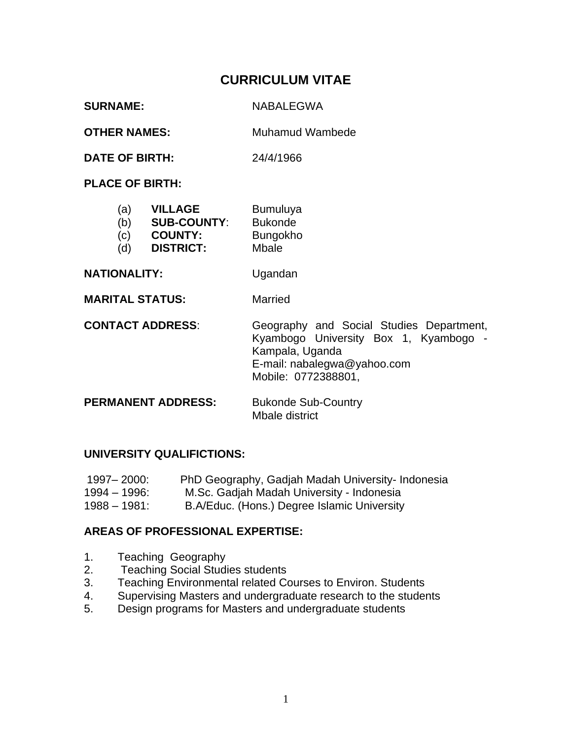# **CURRICULUM VITAE**

| <b>SURNAME:</b>     | NABALEGWA       |
|---------------------|-----------------|
| <b>OTHER NAMES:</b> | Muhamud Wambede |

**DATE OF BIRTH:** 24/4/1966

**PLACE OF BIRTH:**

| <b>Bumuluya</b> |
|-----------------|
|                 |

- (b) **SUB-COUNTY**: Bukonde
- (c) **COUNTY:** Bungokho
- (d) **DISTRICT:** Mbale

NATIONALITY: Ugandan

**MARITAL STATUS:** Married

**CONTACT ADDRESS**: Geography and Social Studies Department, Kyambogo University Box 1, Kyambogo - Kampala, Uganda E-mail: nabalegwa@yahoo.com Mobile: 0772388801,

**PERMANENT ADDRESS:** Bukonde Sub-Country Mbale district

### **UNIVERSITY QUALIFICTIONS:**

| 1997–2000:      | PhD Geography, Gadjah Madah University- Indonesia |
|-----------------|---------------------------------------------------|
| 1994 – 1996:    | M.Sc. Gadjah Madah University - Indonesia         |
| $1988 - 1981$ : | B.A/Educ. (Hons.) Degree Islamic University       |

### **AREAS OF PROFESSIONAL EXPERTISE:**

- 1. Teaching Geography
- 2. Teaching Social Studies students
- 3. Teaching Environmental related Courses to Environ. Students
- 4. Supervising Masters and undergraduate research to the students
- 5. Design programs for Masters and undergraduate students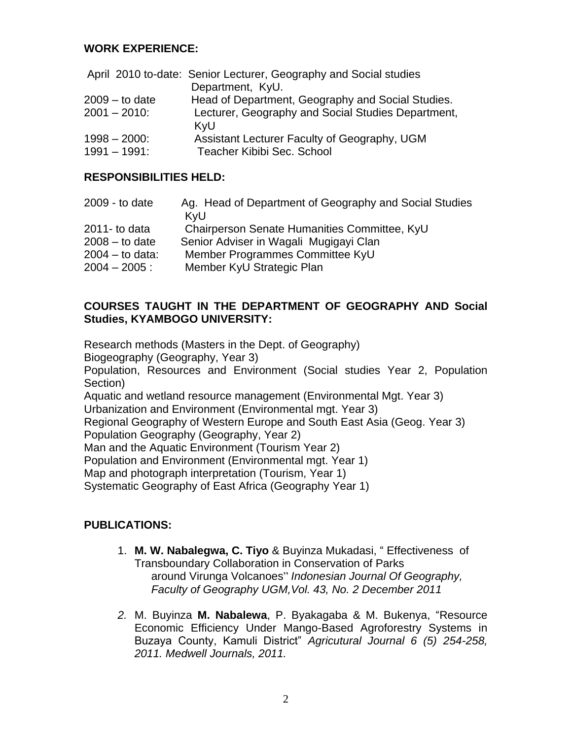#### **WORK EXPERIENCE:**

| April 2010 to-date: Senior Lecturer, Geography and Social studies |
|-------------------------------------------------------------------|
| Department, KyU.                                                  |
| Head of Department, Geography and Social Studies.                 |
| Lecturer, Geography and Social Studies Department,                |
| KyU                                                               |
| Assistant Lecturer Faculty of Geography, UGM                      |
| Teacher Kibibi Sec. School                                        |
|                                                                   |

#### **RESPONSIBILITIES HELD:**

| Ag. Head of Department of Geography and Social Studies<br>KyU |
|---------------------------------------------------------------|
| Chairperson Senate Humanities Committee, KyU                  |
| Senior Adviser in Wagali Mugigayi Clan                        |
| Member Programmes Committee KyU                               |
| Member KyU Strategic Plan                                     |
|                                                               |

#### **COURSES TAUGHT IN THE DEPARTMENT OF GEOGRAPHY AND Social Studies, KYAMBOGO UNIVERSITY:**

Research methods (Masters in the Dept. of Geography)

Biogeography (Geography, Year 3)

Population, Resources and Environment (Social studies Year 2, Population Section)

Aquatic and wetland resource management (Environmental Mgt. Year 3) Urbanization and Environment (Environmental mgt. Year 3)

Regional Geography of Western Europe and South East Asia (Geog. Year 3)

Population Geography (Geography, Year 2)

Man and the Aquatic Environment (Tourism Year 2)

Population and Environment (Environmental mgt. Year 1)

Map and photograph interpretation (Tourism, Year 1)

Systematic Geography of East Africa (Geography Year 1)

## **PUBLICATIONS:**

- 1. **M. W. Nabalegwa, C. Tiyo** & Buyinza Mukadasi, " Effectiveness of Transboundary Collaboration in Conservation of Parks around Virunga Volcanoes" *Indonesian Journal Of Geography, Faculty of Geography UGM,Vol. 43, No. 2 December 2011*
- *2.* M. Buyinza **M. Nabalewa**, P. Byakagaba & M. Bukenya, "Resource Economic Efficiency Under Mango-Based Agroforestry Systems in Buzaya County, Kamuli District" *Agricutural Journal 6 (5) 254-258, 2011. Medwell Journals, 2011.*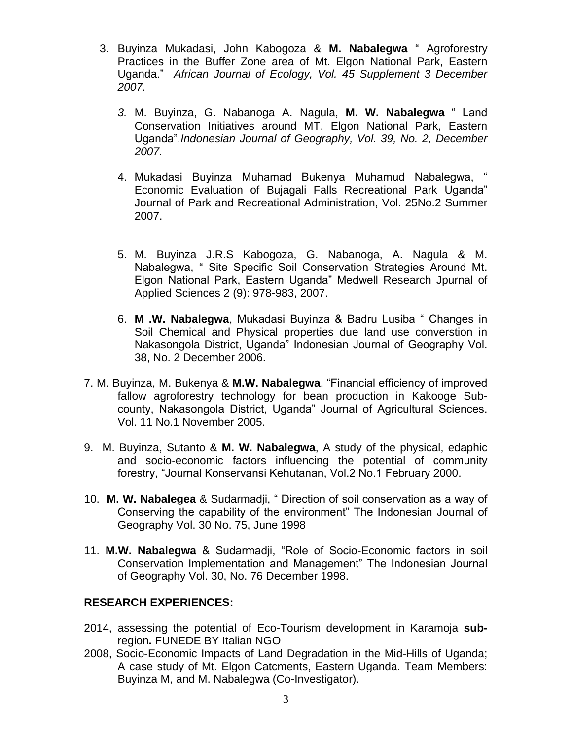- 3. Buyinza Mukadasi, John Kabogoza & **M. Nabalegwa** " Agroforestry Practices in the Buffer Zone area of Mt. Elgon National Park, Eastern Uganda." *African Journal of Ecology, Vol. 45 Supplement 3 December 2007.* 
	- *3.* M. Buyinza, G. Nabanoga A. Nagula, **M. W. Nabalegwa** " Land Conservation Initiatives around MT. Elgon National Park, Eastern Uganda".*Indonesian Journal of Geography, Vol. 39, No. 2, December 2007.*
	- 4. Mukadasi Buyinza Muhamad Bukenya Muhamud Nabalegwa, " Economic Evaluation of Bujagali Falls Recreational Park Uganda" Journal of Park and Recreational Administration, Vol. 25No.2 Summer 2007.
	- 5. M. Buyinza J.R.S Kabogoza, G. Nabanoga, A. Nagula & M. Nabalegwa, " Site Specific Soil Conservation Strategies Around Mt. Elgon National Park, Eastern Uganda" Medwell Research Jpurnal of Applied Sciences 2 (9): 978-983, 2007.
	- 6. **M .W. Nabalegwa**, Mukadasi Buyinza & Badru Lusiba " Changes in Soil Chemical and Physical properties due land use converstion in Nakasongola District, Uganda" Indonesian Journal of Geography Vol. 38, No. 2 December 2006.
- 7. M. Buyinza, M. Bukenya & **M.W. Nabalegwa**, "Financial efficiency of improved fallow agroforestry technology for bean production in Kakooge Subcounty, Nakasongola District, Uganda" Journal of Agricultural Sciences. Vol. 11 No.1 November 2005.
- 9. M. Buyinza, Sutanto & **M. W. Nabalegwa**, A study of the physical, edaphic and socio-economic factors influencing the potential of community forestry, "Journal Konservansi Kehutanan, Vol.2 No.1 February 2000.
- 10. **M. W. Nabalegea** & Sudarmadji, " Direction of soil conservation as a way of Conserving the capability of the environment" The Indonesian Journal of Geography Vol. 30 No. 75, June 1998
- 11. **M.W. Nabalegwa** & Sudarmadji, "Role of Socio-Economic factors in soil Conservation Implementation and Management" The Indonesian Journal of Geography Vol. 30, No. 76 December 1998.

## **RESEARCH EXPERIENCES:**

- 2014, assessing the potential of Eco-Tourism development in Karamoja **sub**region**.** FUNEDE BY Italian NGO
- 2008, Socio-Economic Impacts of Land Degradation in the Mid-Hills of Uganda; A case study of Mt. Elgon Catcments, Eastern Uganda. Team Members: Buyinza M, and M. Nabalegwa (Co-Investigator).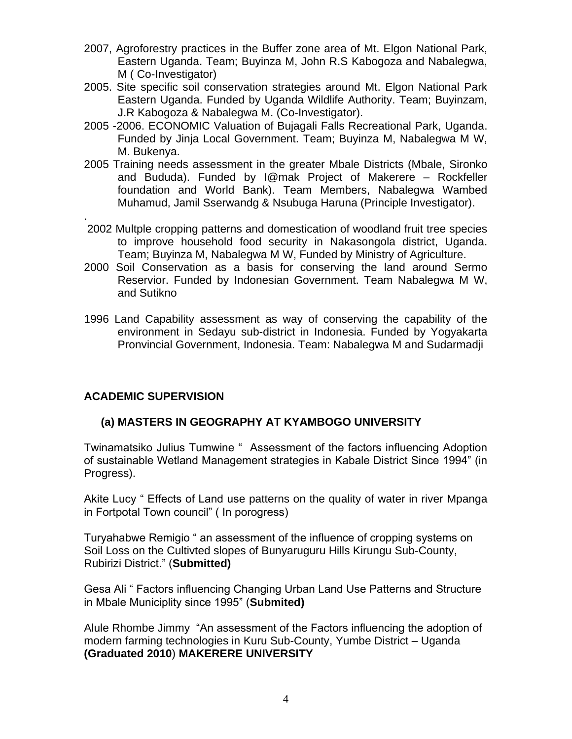- 2007, Agroforestry practices in the Buffer zone area of Mt. Elgon National Park, Eastern Uganda. Team; Buyinza M, John R.S Kabogoza and Nabalegwa, M ( Co-Investigator)
- 2005. Site specific soil conservation strategies around Mt. Elgon National Park Eastern Uganda. Funded by Uganda Wildlife Authority. Team; Buyinzam, J.R Kabogoza & Nabalegwa M. (Co-Investigator).
- 2005 -2006. ECONOMIC Valuation of Bujagali Falls Recreational Park, Uganda. Funded by Jinja Local Government. Team; Buyinza M, Nabalegwa M W, M. Bukenya.
- 2005 Training needs assessment in the greater Mbale Districts (Mbale, Sironko and Bududa). Funded by I@mak Project of Makerere – Rockfeller foundation and World Bank). Team Members, Nabalegwa Wambed Muhamud, Jamil Sserwandg & Nsubuga Haruna (Principle Investigator).
- . 2002 Multple cropping patterns and domestication of woodland fruit tree species to improve household food security in Nakasongola district, Uganda. Team; Buyinza M, Nabalegwa M W, Funded by Ministry of Agriculture.
- 2000 Soil Conservation as a basis for conserving the land around Sermo Reservior. Funded by Indonesian Government. Team Nabalegwa M W, and Sutikno
- 1996 Land Capability assessment as way of conserving the capability of the environment in Sedayu sub-district in Indonesia. Funded by Yogyakarta Pronvincial Government, Indonesia. Team: Nabalegwa M and Sudarmadji

## **ACADEMIC SUPERVISION**

## **(a) MASTERS IN GEOGRAPHY AT KYAMBOGO UNIVERSITY**

Twinamatsiko Julius Tumwine " Assessment of the factors influencing Adoption of sustainable Wetland Management strategies in Kabale District Since 1994" (in Progress).

Akite Lucy " Effects of Land use patterns on the quality of water in river Mpanga in Fortpotal Town council" ( In porogress)

Turyahabwe Remigio " an assessment of the influence of cropping systems on Soil Loss on the Cultivted slopes of Bunyaruguru Hills Kirungu Sub-County, Rubirizi District." (**Submitted)**

Gesa Ali " Factors influencing Changing Urban Land Use Patterns and Structure in Mbale Municiplity since 1995" (**Submited)**

Alule Rhombe Jimmy "An assessment of the Factors influencing the adoption of modern farming technologies in Kuru Sub-County, Yumbe District – Uganda **(Graduated 2010**) **MAKERERE UNIVERSITY**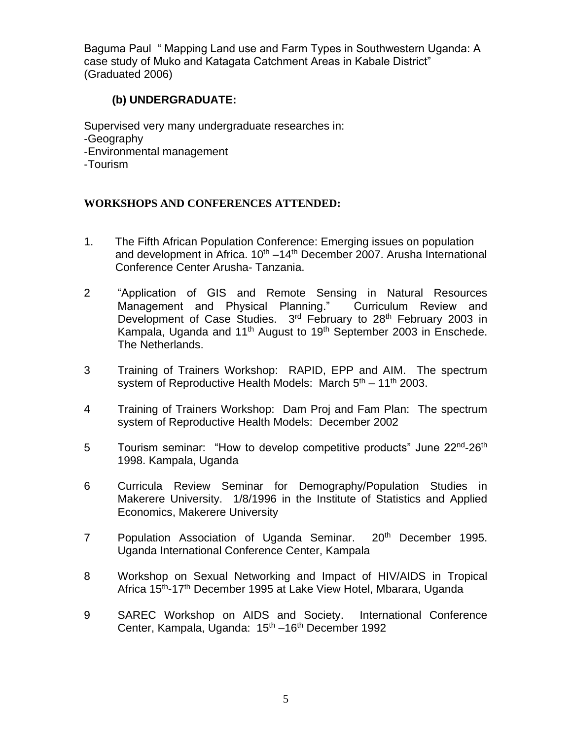Baguma Paul " Mapping Land use and Farm Types in Southwestern Uganda: A case study of Muko and Katagata Catchment Areas in Kabale District" (Graduated 2006)

### **(b) UNDERGRADUATE:**

Supervised very many undergraduate researches in: -Geography -Environmental management -Tourism

### **WORKSHOPS AND CONFERENCES ATTENDED:**

- 1. The Fifth African Population Conference: Emerging issues on population and development in Africa.  $10^{th} - 14^{th}$  December 2007. Arusha International Conference Center Arusha- Tanzania.
- 2 "Application of GIS and Remote Sensing in Natural Resources Management and Physical Planning." Curriculum Review and Development of Case Studies. 3<sup>rd</sup> February to 28<sup>th</sup> February 2003 in Kampala, Uganda and  $11<sup>th</sup>$  August to  $19<sup>th</sup>$  September 2003 in Enschede. The Netherlands.
- 3 Training of Trainers Workshop: RAPID, EPP and AIM. The spectrum system of Reproductive Health Models: March  $5<sup>th</sup> - 11<sup>th</sup>$  2003.
- 4 Training of Trainers Workshop: Dam Proj and Fam Plan: The spectrum system of Reproductive Health Models: December 2002
- 5 Tourism seminar: "How to develop competitive products" June 22<sup>nd</sup>-26<sup>th</sup> 1998. Kampala, Uganda
- 6 Curricula Review Seminar for Demography/Population Studies in Makerere University. 1/8/1996 in the Institute of Statistics and Applied Economics, Makerere University
- 7 Population Association of Uganda Seminar. 20<sup>th</sup> December 1995. Uganda International Conference Center, Kampala
- 8 Workshop on Sexual Networking and Impact of HIV/AIDS in Tropical Africa 15<sup>th</sup>-17<sup>th</sup> December 1995 at Lake View Hotel, Mbarara, Uganda
- 9 SAREC Workshop on AIDS and Society. International Conference Center, Kampala, Uganda: 15<sup>th</sup> –16<sup>th</sup> December 1992